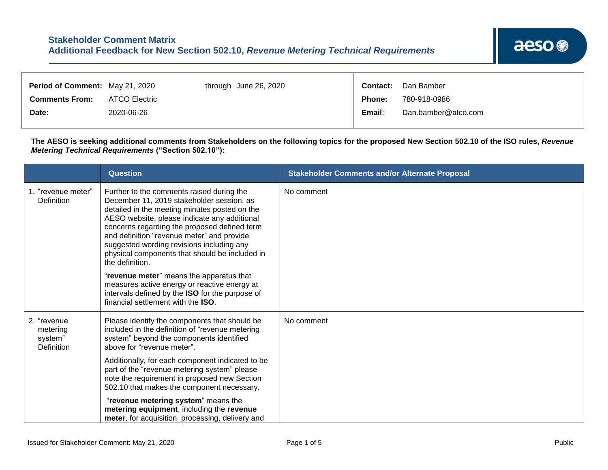| Period of Comment: May 21, 2020 |               | through June 26, 2020 | <b>Contact:</b> | Dan Bamber          |
|---------------------------------|---------------|-----------------------|-----------------|---------------------|
| <b>Comments From:</b>           | ATCO Electric |                       | <b>Phone:</b>   | 780-918-0986        |
| Date:                           | 2020-06-26    |                       | Email:          | Dan.bamber@atco.com |

┱

**The AESO is seeking additional comments from Stakeholders on the following topics for the proposed New Section 502.10 of the ISO rules,** *Revenue Metering Technical Requirements* **("Section 502.10"):**

|                                                         | Question                                                                                                                                                                                                                                                                                                                                                                                                | <b>Stakeholder Comments and/or Alternate Proposal</b> |
|---------------------------------------------------------|---------------------------------------------------------------------------------------------------------------------------------------------------------------------------------------------------------------------------------------------------------------------------------------------------------------------------------------------------------------------------------------------------------|-------------------------------------------------------|
| 1. "revenue meter"<br>Definition                        | Further to the comments raised during the<br>December 11, 2019 stakeholder session, as<br>detailed in the meeting minutes posted on the<br>AESO website, please indicate any additional<br>concerns regarding the proposed defined term<br>and definition "revenue meter" and provide<br>suggested wording revisions including any<br>physical components that should be included in<br>the definition. | No comment                                            |
|                                                         | "revenue meter" means the apparatus that<br>measures active energy or reactive energy at<br>intervals defined by the ISO for the purpose of<br>financial settlement with the ISO.                                                                                                                                                                                                                       |                                                       |
| 2. "revenue<br>metering<br>system"<br><b>Definition</b> | Please identify the components that should be<br>included in the definition of "revenue metering<br>system" beyond the components identified<br>above for "revenue meter".                                                                                                                                                                                                                              | No comment                                            |
|                                                         | Additionally, for each component indicated to be<br>part of the "revenue metering system" please<br>note the requirement in proposed new Section<br>502.10 that makes the component necessary.                                                                                                                                                                                                          |                                                       |
|                                                         | "revenue metering system" means the<br>metering equipment, including the revenue<br>meter, for acquisition, processing, delivery and                                                                                                                                                                                                                                                                    |                                                       |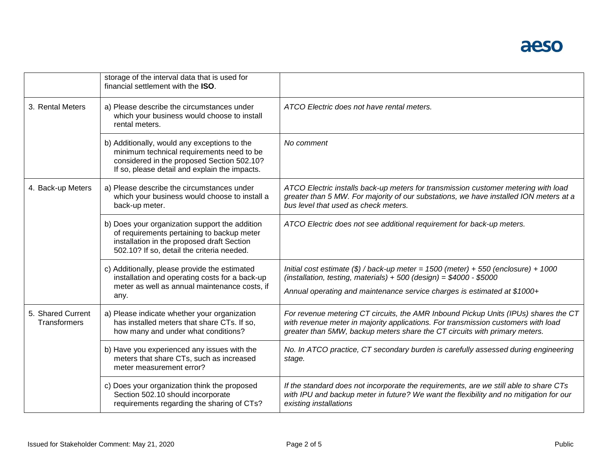|                                   | storage of the interval data that is used for<br>financial settlement with the ISO.                                                                                                      |                                                                                                                                                                                                                                                        |
|-----------------------------------|------------------------------------------------------------------------------------------------------------------------------------------------------------------------------------------|--------------------------------------------------------------------------------------------------------------------------------------------------------------------------------------------------------------------------------------------------------|
| 3. Rental Meters                  | a) Please describe the circumstances under<br>which your business would choose to install<br>rental meters.                                                                              | ATCO Electric does not have rental meters.                                                                                                                                                                                                             |
|                                   | b) Additionally, would any exceptions to the<br>minimum technical requirements need to be<br>considered in the proposed Section 502.10?<br>If so, please detail and explain the impacts. | No comment                                                                                                                                                                                                                                             |
| 4. Back-up Meters                 | a) Please describe the circumstances under<br>which your business would choose to install a<br>back-up meter.                                                                            | ATCO Electric installs back-up meters for transmission customer metering with load<br>greater than 5 MW. For majority of our substations, we have installed ION meters at a<br>bus level that used as check meters.                                    |
|                                   | b) Does your organization support the addition<br>of requirements pertaining to backup meter<br>installation in the proposed draft Section<br>502.10? If so, detail the criteria needed. | ATCO Electric does not see additional requirement for back-up meters.                                                                                                                                                                                  |
|                                   | c) Additionally, please provide the estimated<br>installation and operating costs for a back-up<br>meter as well as annual maintenance costs, if<br>any.                                 | Initial cost estimate $(\$)$ / back-up meter = 1500 (meter) + 550 (enclosure) + 1000<br>(installation, testing, materials) + 500 (design) = $$4000 - $5000$<br>Annual operating and maintenance service charges is estimated at \$1000+                |
| 5. Shared Current<br>Transformers | a) Please indicate whether your organization<br>has installed meters that share CTs. If so,<br>how many and under what conditions?                                                       | For revenue metering CT circuits, the AMR Inbound Pickup Units (IPUs) shares the CT<br>with revenue meter in majority applications. For transmission customers with load<br>greater than 5MW, backup meters share the CT circuits with primary meters. |
|                                   | b) Have you experienced any issues with the<br>meters that share CTs, such as increased<br>meter measurement error?                                                                      | No. In ATCO practice, CT secondary burden is carefully assessed during engineering<br>stage.                                                                                                                                                           |
|                                   | c) Does your organization think the proposed<br>Section 502.10 should incorporate<br>requirements regarding the sharing of CTs?                                                          | If the standard does not incorporate the requirements, are we still able to share CTs<br>with IPU and backup meter in future? We want the flexibility and no mitigation for our<br>existing installations                                              |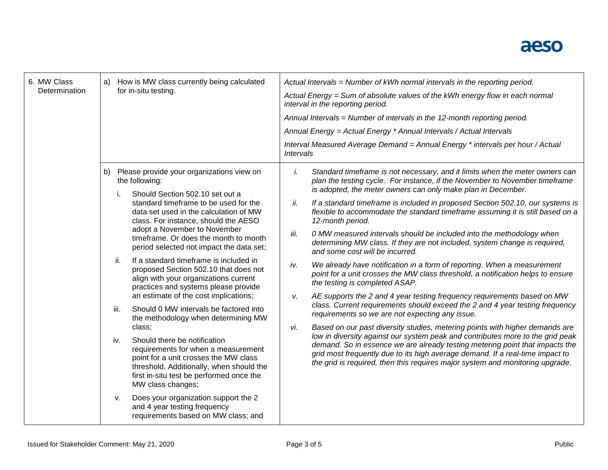## aeso

| 6. MW Class<br>Determination | How is MW class currently being calculated<br>a)<br>for in-situ testing. |                                                                                                                                                                                                                                                                                 | Actual Intervals = Number of kWh normal intervals in the reporting period.<br>Actual Energy = Sum of absolute values of the kWh energy flow in each normal<br>interval in the reporting period.<br>Annual Intervals = Number of intervals in the 12-month reporting period.<br>Annual Energy = Actual Energy * Annual Intervals / Actual Intervals<br>Interval Measured Average Demand = Annual Energy * intervals per hour / Actual<br><b>Intervals</b> |                                                                                                                                                                                                                                                |  |
|------------------------------|--------------------------------------------------------------------------|---------------------------------------------------------------------------------------------------------------------------------------------------------------------------------------------------------------------------------------------------------------------------------|----------------------------------------------------------------------------------------------------------------------------------------------------------------------------------------------------------------------------------------------------------------------------------------------------------------------------------------------------------------------------------------------------------------------------------------------------------|------------------------------------------------------------------------------------------------------------------------------------------------------------------------------------------------------------------------------------------------|--|
|                              | b)                                                                       | Please provide your organizations view on<br>the following:                                                                                                                                                                                                                     |                                                                                                                                                                                                                                                                                                                                                                                                                                                          | Standard timeframe is not necessary, and it limits when the meter owners can<br>plan the testing cycle. For instance, if the November to November timeframe<br>is adopted, the meter owners can only make plan in December.                    |  |
|                              | i.                                                                       | Should Section 502.10 set out a<br>standard timeframe to be used for the<br>data set used in the calculation of MW<br>class. For instance, should the AESO<br>adopt a November to November<br>timeframe. Or does the month to month<br>period selected not impact the data set; | ii.                                                                                                                                                                                                                                                                                                                                                                                                                                                      | If a standard timeframe is included in proposed Section 502.10, our systems is<br>flexible to accommodate the standard timeframe assuming it is still based on a<br>12-month period.                                                           |  |
|                              |                                                                          |                                                                                                                                                                                                                                                                                 | iii.                                                                                                                                                                                                                                                                                                                                                                                                                                                     | 0 MW measured intervals should be included into the methodology when<br>determining MW class. If they are not included, system change is required,<br>and some cost will be incurred.                                                          |  |
|                              | ii.                                                                      | If a standard timeframe is included in<br>proposed Section 502.10 that does not<br>align with your organizations current<br>practices and systems please provide                                                                                                                | iv.                                                                                                                                                                                                                                                                                                                                                                                                                                                      | We already have notification in a form of reporting. When a measurement<br>point for a unit crosses the MW class threshold, a notification helps to ensure<br>the testing is completed ASAP.                                                   |  |
|                              | iii.                                                                     | an estimate of the cost implications;<br>Should 0 MW intervals be factored into<br>the methodology when determining MW<br>class:                                                                                                                                                | v.                                                                                                                                                                                                                                                                                                                                                                                                                                                       | AE supports the 2 and 4 year testing frequency requirements based on MW<br>class. Current requirements should exceed the 2 and 4 year testing frequency<br>requirements so we are not expecting any issue.                                     |  |
|                              |                                                                          |                                                                                                                                                                                                                                                                                 | vi.                                                                                                                                                                                                                                                                                                                                                                                                                                                      | Based on our past diversity studies, metering points with higher demands are<br>low in diversity against our system peak and contributes more to the grid peak                                                                                 |  |
|                              | iv.                                                                      | Should there be notification<br>requirements for when a measurement<br>point for a unit crosses the MW class<br>threshold. Additionally, when should the<br>first in-situ test be performed once the<br>MW class changes;                                                       |                                                                                                                                                                                                                                                                                                                                                                                                                                                          | demand. So in essence we are already testing metering point that impacts the<br>grid most frequently due to its high average demand. If a real-time impact to<br>the grid is required, then this requires major system and monitoring upgrade. |  |
|                              | v.                                                                       | Does your organization support the 2<br>and 4 year testing frequency<br>requirements based on MW class; and                                                                                                                                                                     |                                                                                                                                                                                                                                                                                                                                                                                                                                                          |                                                                                                                                                                                                                                                |  |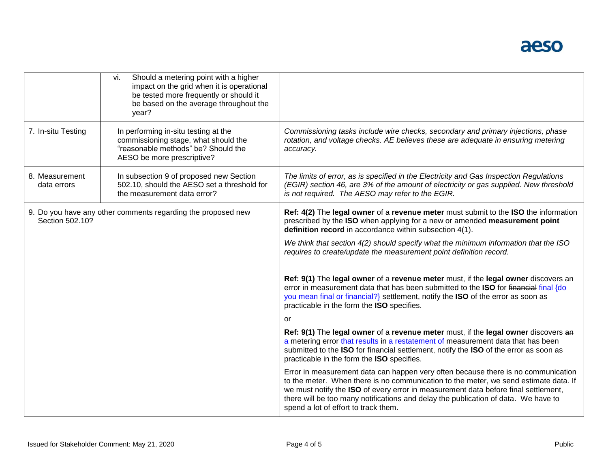|                                                                                 | Should a metering point with a higher<br>vi.<br>impact on the grid when it is operational<br>be tested more frequently or should it<br>be based on the average throughout the<br>year? |                                                                                                                                                                                                                                                                                                                                                                                               |
|---------------------------------------------------------------------------------|----------------------------------------------------------------------------------------------------------------------------------------------------------------------------------------|-----------------------------------------------------------------------------------------------------------------------------------------------------------------------------------------------------------------------------------------------------------------------------------------------------------------------------------------------------------------------------------------------|
| 7. In-situ Testing                                                              | In performing in-situ testing at the<br>commissioning stage, what should the<br>"reasonable methods" be? Should the<br>AESO be more prescriptive?                                      | Commissioning tasks include wire checks, secondary and primary injections, phase<br>rotation, and voltage checks. AE believes these are adequate in ensuring metering<br>accuracy.                                                                                                                                                                                                            |
| 8. Measurement<br>data errors                                                   | In subsection 9 of proposed new Section<br>502.10, should the AESO set a threshold for<br>the measurement data error?                                                                  | The limits of error, as is specified in the Electricity and Gas Inspection Regulations<br>(EGIR) section 46, are 3% of the amount of electricity or gas supplied. New threshold<br>is not required. The AESO may refer to the EGIR.                                                                                                                                                           |
| 9. Do you have any other comments regarding the proposed new<br>Section 502.10? |                                                                                                                                                                                        | Ref: 4(2) The legal owner of a revenue meter must submit to the ISO the information<br>prescribed by the ISO when applying for a new or amended measurement point<br>definition record in accordance within subsection 4(1).                                                                                                                                                                  |
|                                                                                 |                                                                                                                                                                                        | We think that section 4(2) should specify what the minimum information that the ISO<br>requires to create/update the measurement point definition record.                                                                                                                                                                                                                                     |
|                                                                                 |                                                                                                                                                                                        | Ref: 9(1) The legal owner of a revenue meter must, if the legal owner discovers an<br>error in measurement data that has been submitted to the ISO for financial final {do<br>you mean final or financial?} settlement, notify the ISO of the error as soon as<br>practicable in the form the ISO specifies.                                                                                  |
|                                                                                 |                                                                                                                                                                                        | or                                                                                                                                                                                                                                                                                                                                                                                            |
|                                                                                 |                                                                                                                                                                                        | Ref: 9(1) The legal owner of a revenue meter must, if the legal owner discovers an<br>a metering error that results in a restatement of measurement data that has been<br>submitted to the ISO for financial settlement, notify the ISO of the error as soon as<br>practicable in the form the ISO specifies.                                                                                 |
|                                                                                 |                                                                                                                                                                                        | Error in measurement data can happen very often because there is no communication<br>to the meter. When there is no communication to the meter, we send estimate data. If<br>we must notify the ISO of every error in measurement data before final settlement,<br>there will be too many notifications and delay the publication of data. We have to<br>spend a lot of effort to track them. |